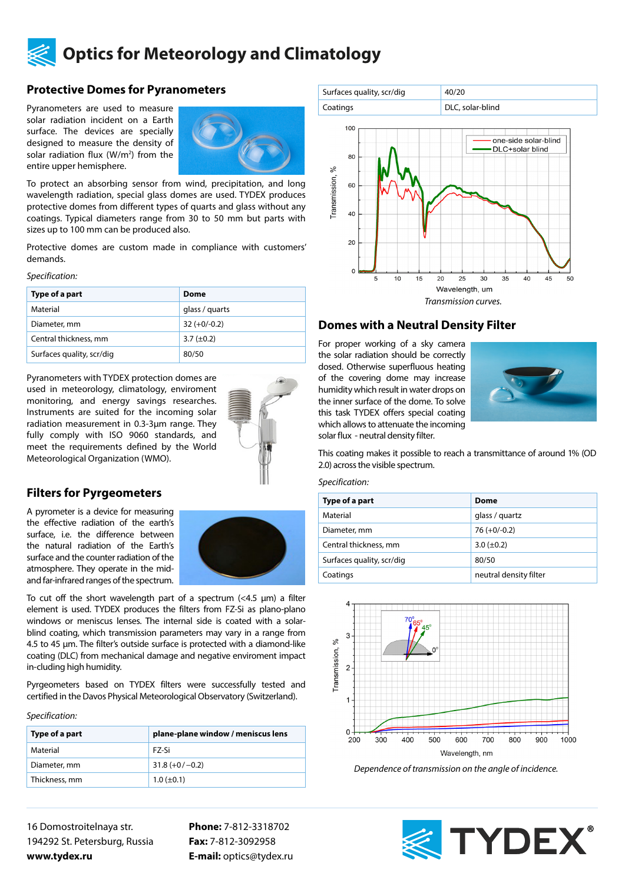

## **Protective Domes for Pyranometers**

Pyranometers are used to measure solar radiation incident on a Earth surface. The devices are specially designed to measure the density of solar radiation flux  $(W/m^2)$  from the entire upper hemisphere.



To protect an absorbing sensor from wind, precipitation, and long wavelength radiation, special glass domes are used. TYDEX produces protective domes from different types of quarts and glass without any coatings. Typical diameters range from 30 to 50 mm but parts with sizes up to 100 mm can be produced also.

Protective domes are custom made in compliance with customers' demands.

*Specification:*

| Type of a part            | Dome            |
|---------------------------|-----------------|
| Material                  | glass / guarts  |
| Diameter, mm              | $32 (+0/-0.2)$  |
| Central thickness, mm     | 3.7 $(\pm 0.2)$ |
| Surfaces quality, scr/dig | 80/50           |

Pyranometers with TYDEX protection domes are used in meteorology, climatology, enviroment monitoring, and energy savings researches. Instruments are suited for the incoming solar radiation measurement in 0.3-3μm range. They fully comply with ISO 9060 standards, and meet the requirements defined by the World Meteorological Organization (WMO).



### **Filters for Pyrgeometers**

A pyrometer is a device for measuring the effective radiation of the earth's surface, i.e. the difference between the natural radiation of the Earth's surface and the counter radiation of the atmosphere. They operate in the midand far-infrared ranges of the spectrum.



To cut off the short wavelength part of a spectrum (<4.5 μm) a filter element is used. TYDEX produces the filters from FZ-Si as plano-plano windows or meniscus lenses. The internal side is coated with a solarblind coating, which transmission parameters may vary in a range from 4.5 to 45 μm. The filter's outside surface is protected with a diamond-like coating (DLC) from mechanical damage and negative enviroment impact in-cluding high humidity.

Pyrgeometers based on TYDEX filters were successfully tested and certified in the Davos Physical Meteorological Observatory (Switzerland).

*Specification:*

| Type of a part | plane-plane window / meniscus lens |
|----------------|------------------------------------|
| Material       | F7-Si                              |
| Diameter, mm   | $31.8 (+0/-0.2)$                   |
| Thickness, mm  | $1.0 (\pm 0.1)$                    |

16 Domostroitelnaya str. 194292 St. Petersburg, Russia **www.tydex.ru** 

**Phone:** 7-812-3318702 **Fax:** 7-812-3092958 **E-mail:** optics@tydex.ru





## **Domes with a Neutral Density Filter**

For proper working of a sky camera the solar radiation should be correctly dosed. Otherwise superfluous heating of the covering dome may increase humidity which result in water drops on the inner surface of the dome. To solve this task TYDEX offers special coating which allows to attenuate the incoming solar flux - neutral density filter.



This coating makes it possible to reach a transmittance of around 1% (OD 2.0) across the visible spectrum.

#### *Specification:*

| Type of a part            | Dome                   |
|---------------------------|------------------------|
| Material                  | glass / guartz         |
| Diameter, mm              | $76 (+0/-0.2)$         |
| Central thickness, mm     | $3.0 (\pm 0.2)$        |
| Surfaces quality, scr/dig | 80/50                  |
| Coatings                  | neutral density filter |



*Dependence of transmission on the angle of incidence.*